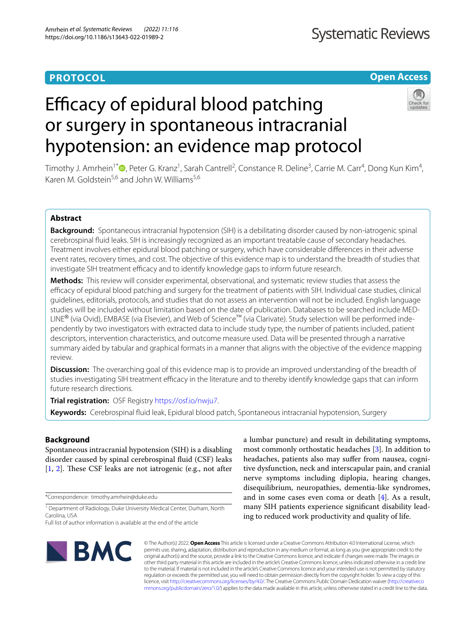# **PROTOCOL**

# **Open Access**

# Efficacy of epidural blood patching or surgery in spontaneous intracranial hypotension: an evidence map protocol



Timothy J. Amrhein<sup>1\*</sup>®[,](http://orcid.org/0000-0002-9354-9486) Peter G. Kranz<sup>1</sup>, Sarah Cantrell<sup>2</sup>, Constance R. Deline<sup>3</sup>, Carrie M. Carr<sup>4</sup>, Dong Kun Kim<sup>4</sup>, Karen M. Goldstein<sup>5,6</sup> and John W. Williams<sup>5,6</sup>

# **Abstract**

**Background:** Spontaneous intracranial hypotension (SIH) is a debilitating disorder caused by non-iatrogenic spinal cerebrospinal fuid leaks. SIH is increasingly recognized as an important treatable cause of secondary headaches. Treatment involves either epidural blood patching or surgery, which have considerable diferences in their adverse event rates, recovery times, and cost. The objective of this evidence map is to understand the breadth of studies that investigate SIH treatment efficacy and to identify knowledge gaps to inform future research.

**Methods:** This review will consider experimental, observational, and systematic review studies that assess the efcacy of epidural blood patching and surgery for the treatment of patients with SIH. Individual case studies, clinical guidelines, editorials, protocols, and studies that do not assess an intervention will not be included. English language studies will be included without limitation based on the date of publication. Databases to be searched include MED-LINE® (via Ovid), EMBASE (via Elsevier), and Web of Science™ (via Clarivate). Study selection will be performed independently by two investigators with extracted data to include study type, the number of patients included, patient descriptors, intervention characteristics, and outcome measure used. Data will be presented through a narrative summary aided by tabular and graphical formats in a manner that aligns with the objective of the evidence mapping review.

**Discussion:** The overarching goal of this evidence map is to provide an improved understanding of the breadth of studies investigating SIH treatment efficacy in the literature and to thereby identify knowledge gaps that can inform future research directions.

**Trial registration:** OSF Registry <https://osf.io/nwju7>.

**Keywords:** Cerebrospinal fuid leak, Epidural blood patch, Spontaneous intracranial hypotension, Surgery

# **Background**

Spontaneous intracranial hypotension (SIH) is a disabling disorder caused by spinal cerebrospinal fuid (CSF) leaks  $[1, 2]$  $[1, 2]$  $[1, 2]$  $[1, 2]$  $[1, 2]$ . These CSF leaks are not iatrogenic (e.g., not after

\*Correspondence: timothy.amrhein@duke.edu

<sup>1</sup> Department of Radiology, Duke University Medical Center, Durham, North Carolina, USA

Full list of author information is available at the end of the article

a lumbar puncture) and result in debilitating symptoms, most commonly orthostatic headaches [\[3](#page-4-2)]. In addition to headaches, patients also may sufer from nausea, cognitive dysfunction, neck and interscapular pain, and cranial nerve symptoms including diplopia, hearing changes, disequilibrium, neuropathies, dementia-like syndromes, and in some cases even coma or death [\[4](#page-4-3)]. As a result, many SIH patients experience signifcant disability leading to reduced work productivity and quality of life.



© The Author(s) 2022. **Open Access** This article is licensed under a Creative Commons Attribution 4.0 International License, which permits use, sharing, adaptation, distribution and reproduction in any medium or format, as long as you give appropriate credit to the original author(s) and the source, provide a link to the Creative Commons licence, and indicate if changes were made. The images or other third party material in this article are included in the article's Creative Commons licence, unless indicated otherwise in a credit line to the material. If material is not included in the article's Creative Commons licence and your intended use is not permitted by statutory regulation or exceeds the permitted use, you will need to obtain permission directly from the copyright holder. To view a copy of this licence, visit [http://creativecommons.org/licenses/by/4.0/.](http://creativecommons.org/licenses/by/4.0/) The Creative Commons Public Domain Dedication waiver ([http://creativeco](http://creativecommons.org/publicdomain/zero/1.0/) [mmons.org/publicdomain/zero/1.0/](http://creativecommons.org/publicdomain/zero/1.0/)) applies to the data made available in this article, unless otherwise stated in a credit line to the data.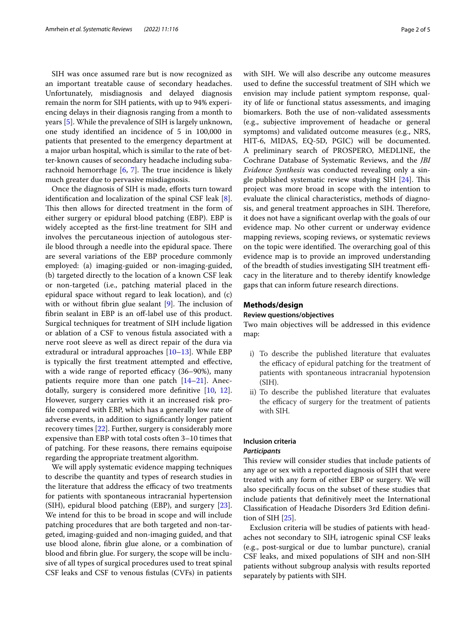SIH was once assumed rare but is now recognized as an important treatable cause of secondary headaches. Unfortunately, misdiagnosis and delayed diagnosis remain the norm for SIH patients, with up to 94% experiencing delays in their diagnosis ranging from a month to years [\[5\]](#page-4-4). While the prevalence of SIH is largely unknown, one study identifed an incidence of 5 in 100,000 in patients that presented to the emergency department at a major urban hospital, which is similar to the rate of better-known causes of secondary headache including subarachnoid hemorrhage  $[6, 7]$  $[6, 7]$  $[6, 7]$ . The true incidence is likely much greater due to pervasive misdiagnosis.

Once the diagnosis of SIH is made, efforts turn toward identifcation and localization of the spinal CSF leak [\[8](#page-4-7)]. This then allows for directed treatment in the form of either surgery or epidural blood patching (EBP). EBP is widely accepted as the frst-line treatment for SIH and involves the percutaneous injection of autologous sterile blood through a needle into the epidural space. There are several variations of the EBP procedure commonly employed: (a) imaging-guided or non-imaging-guided, (b) targeted directly to the location of a known CSF leak or non-targeted (i.e., patching material placed in the epidural space without regard to leak location), and (c) with or without fibrin glue sealant  $[9]$  $[9]$  $[9]$ . The inclusion of fibrin sealant in EBP is an off-label use of this product. Surgical techniques for treatment of SIH include ligation or ablation of a CSF to venous fstula associated with a nerve root sleeve as well as direct repair of the dura via extradural or intradural approaches [[10–](#page-4-9)[13\]](#page-4-10). While EBP is typically the frst treatment attempted and efective, with a wide range of reported efficacy  $(36-90%)$ , many patients require more than one patch [[14–](#page-4-11)[21](#page-4-12)]. Anecdotally, surgery is considered more defnitive [[10](#page-4-9), [12](#page-4-13)]. However, surgery carries with it an increased risk profle compared with EBP, which has a generally low rate of adverse events, in addition to signifcantly longer patient recovery times [\[22\]](#page-4-14). Further, surgery is considerably more expensive than EBP with total costs often 3–10 times that of patching. For these reasons, there remains equipoise regarding the appropriate treatment algorithm.

We will apply systematic evidence mapping techniques to describe the quantity and types of research studies in the literature that address the efficacy of two treatments for patients with spontaneous intracranial hypertension (SIH), epidural blood patching (EBP), and surgery [\[23](#page-4-15)]. We intend for this to be broad in scope and will include patching procedures that are both targeted and non-targeted, imaging-guided and non-imaging guided, and that use blood alone, fbrin glue alone, or a combination of blood and fbrin glue. For surgery, the scope will be inclusive of all types of surgical procedures used to treat spinal CSF leaks and CSF to venous fstulas (CVFs) in patients with SIH. We will also describe any outcome measures used to defne the successful treatment of SIH which we envision may include patient symptom response, quality of life or functional status assessments, and imaging biomarkers. Both the use of non-validated assessments (e.g., subjective improvement of headache or general symptoms) and validated outcome measures (e.g., NRS, HIT-6, MIDAS, EQ-5D, PGIC) will be documented. A preliminary search of PROSPERO, MEDLINE, the Cochrane Database of Systematic Reviews, and the *JBI Evidence Synthesis* was conducted revealing only a single published systematic review studying SIH  $[24]$  $[24]$ . This project was more broad in scope with the intention to evaluate the clinical characteristics, methods of diagnosis, and general treatment approaches in SIH. Therefore, it does not have a signifcant overlap with the goals of our evidence map. No other current or underway evidence mapping reviews, scoping reviews, or systematic reviews on the topic were identified. The overarching goal of this evidence map is to provide an improved understanding of the breadth of studies investigating SIH treatment efficacy in the literature and to thereby identify knowledge gaps that can inform future research directions.

## **Methods/design**

## **Review questions/objectives**

Two main objectives will be addressed in this evidence map:

- i) To describe the published literature that evaluates the efficacy of epidural patching for the treatment of patients with spontaneous intracranial hypotension (SIH).
- ii) To describe the published literature that evaluates the efficacy of surgery for the treatment of patients with SIH.

## **Inclusion criteria**

## *Participants*

This review will consider studies that include patients of any age or sex with a reported diagnosis of SIH that were treated with any form of either EBP or surgery. We will also specifcally focus on the subset of these studies that include patients that defnitively meet the International Classifcation of Headache Disorders 3rd Edition defnition of SIH [\[25](#page-4-17)].

Exclusion criteria will be studies of patients with headaches not secondary to SIH, iatrogenic spinal CSF leaks (e.g., post-surgical or due to lumbar puncture), cranial CSF leaks, and mixed populations of SIH and non-SIH patients without subgroup analysis with results reported separately by patients with SIH.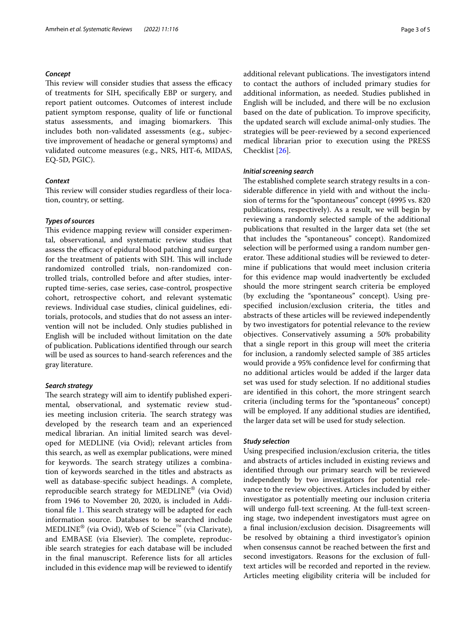## *Concept*

This review will consider studies that assess the efficacy of treatments for SIH, specifcally EBP or surgery, and report patient outcomes. Outcomes of interest include patient symptom response, quality of life or functional status assessments, and imaging biomarkers. This includes both non-validated assessments (e.g., subjective improvement of headache or general symptoms) and validated outcome measures (e.g., NRS, HIT-6, MIDAS, EQ-5D, PGIC).

## *Context*

This review will consider studies regardless of their location, country, or setting.

## *Types of sources*

This evidence mapping review will consider experimental, observational, and systematic review studies that assess the efficacy of epidural blood patching and surgery for the treatment of patients with SIH. This will include randomized controlled trials, non-randomized controlled trials, controlled before and after studies, interrupted time-series, case series, case-control, prospective cohort, retrospective cohort, and relevant systematic reviews. Individual case studies, clinical guidelines, editorials, protocols, and studies that do not assess an intervention will not be included. Only studies published in English will be included without limitation on the date of publication. Publications identifed through our search will be used as sources to hand-search references and the gray literature.

## *Search strategy*

The search strategy will aim to identify published experimental, observational, and systematic review studies meeting inclusion criteria. The search strategy was developed by the research team and an experienced medical librarian. An initial limited search was developed for MEDLINE (via Ovid); relevant articles from this search, as well as exemplar publications, were mined for keywords. The search strategy utilizes a combination of keywords searched in the titles and abstracts as well as database-specifc subject headings. A complete, reproducible search strategy for MEDLINE® (via Ovid) from 1946 to November 20, 2020, is included in Addi-tional file [1.](#page-3-0) This search strategy will be adapted for each information source. Databases to be searched include  $\text{MEDLINE}^{\circledR}$  (via Ovid), Web of Science<sup>™</sup> (via Clarivate), and EMBASE (via Elsevier). The complete, reproducible search strategies for each database will be included in the fnal manuscript. Reference lists for all articles included in this evidence map will be reviewed to identify additional relevant publications. The investigators intend to contact the authors of included primary studies for additional information, as needed. Studies published in English will be included, and there will be no exclusion based on the date of publication. To improve specifcity, the updated search will exclude animal-only studies. The strategies will be peer-reviewed by a second experienced medical librarian prior to execution using the PRESS Checklist [[26](#page-4-18)].

## *Initial screening search*

The established complete search strategy results in a considerable diference in yield with and without the inclusion of terms for the "spontaneous" concept (4995 vs. 820 publications, respectively). As a result, we will begin by reviewing a randomly selected sample of the additional publications that resulted in the larger data set (the set that includes the "spontaneous" concept). Randomized selection will be performed using a random number generator. These additional studies will be reviewed to determine if publications that would meet inclusion criteria for this evidence map would inadvertently be excluded should the more stringent search criteria be employed (by excluding the "spontaneous" concept). Using prespecifed inclusion/exclusion criteria, the titles and abstracts of these articles will be reviewed independently by two investigators for potential relevance to the review objectives. Conservatively assuming a 50% probability that a single report in this group will meet the criteria for inclusion, a randomly selected sample of 385 articles would provide a 95% confdence level for confrming that no additional articles would be added if the larger data set was used for study selection. If no additional studies are identifed in this cohort, the more stringent search criteria (including terms for the "spontaneous" concept) will be employed. If any additional studies are identifed, the larger data set will be used for study selection.

#### *Study selection*

Using prespecifed inclusion/exclusion criteria, the titles and abstracts of articles included in existing reviews and identifed through our primary search will be reviewed independently by two investigators for potential relevance to the review objectives. Articles included by either investigator as potentially meeting our inclusion criteria will undergo full-text screening. At the full-text screening stage, two independent investigators must agree on a fnal inclusion/exclusion decision. Disagreements will be resolved by obtaining a third investigator's opinion when consensus cannot be reached between the frst and second investigators. Reasons for the exclusion of fulltext articles will be recorded and reported in the review. Articles meeting eligibility criteria will be included for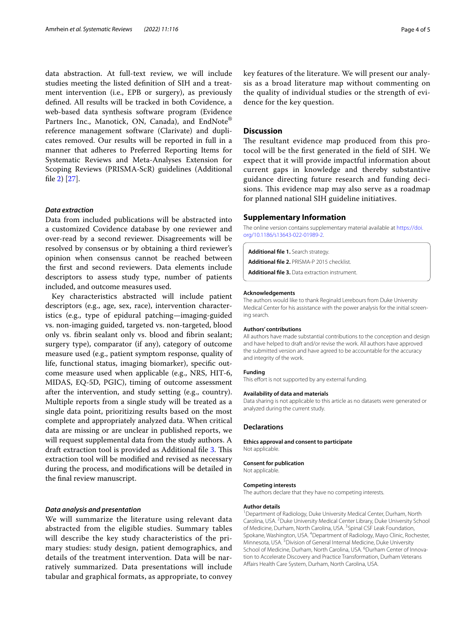data abstraction. At full-text review, we will include studies meeting the listed defnition of SIH and a treatment intervention (i.e., EPB or surgery), as previously defned. All results will be tracked in both Covidence, a web-based data synthesis software program (Evidence Partners Inc., Manotick, ON, Canada), and EndNote<sup>®</sup> reference management software (Clarivate) and duplicates removed. Our results will be reported in full in a manner that adheres to Preferred Reporting Items for Systematic Reviews and Meta-Analyses Extension for Scoping Reviews (PRISMA-ScR) guidelines (Additional fle [2](#page-3-1)) [\[27\]](#page-4-19).

## *Data extraction*

Data from included publications will be abstracted into a customized Covidence database by one reviewer and over-read by a second reviewer. Disagreements will be resolved by consensus or by obtaining a third reviewer's opinion when consensus cannot be reached between the frst and second reviewers. Data elements include descriptors to assess study type, number of patients included, and outcome measures used.

Key characteristics abstracted will include patient descriptors (e.g., age, sex, race), intervention characteristics (e.g., type of epidural patching—imaging-guided vs. non-imaging guided, targeted vs. non-targeted, blood only vs. fbrin sealant only vs. blood and fbrin sealant; surgery type), comparator (if any), category of outcome measure used (e.g., patient symptom response, quality of life, functional status, imaging biomarker), specifc outcome measure used when applicable (e.g., NRS, HIT-6, MIDAS, EQ-5D, PGIC), timing of outcome assessment after the intervention, and study setting (e.g., country). Multiple reports from a single study will be treated as a single data point, prioritizing results based on the most complete and appropriately analyzed data. When critical data are missing or are unclear in published reports, we will request supplemental data from the study authors. A draft extraction tool is provided as Additional file [3](#page-3-2). This extraction tool will be modifed and revised as necessary during the process, and modifcations will be detailed in the fnal review manuscript.

## *Data analysis and presentation*

We will summarize the literature using relevant data abstracted from the eligible studies. Summary tables will describe the key study characteristics of the primary studies: study design, patient demographics, and details of the treatment intervention. Data will be narratively summarized. Data presentations will include tabular and graphical formats, as appropriate, to convey key features of the literature. We will present our analysis as a broad literature map without commenting on the quality of individual studies or the strength of evidence for the key question.

## **Discussion**

The resultant evidence map produced from this protocol will be the frst generated in the feld of SIH. We expect that it will provide impactful information about current gaps in knowledge and thereby substantive guidance directing future research and funding decisions. This evidence map may also serve as a roadmap for planned national SIH guideline initiatives.

## **Supplementary Information**

The online version contains supplementary material available at [https://doi.](https://doi.org/10.1186/s13643-022-01989-2) [org/10.1186/s13643-022-01989-2](https://doi.org/10.1186/s13643-022-01989-2).

<span id="page-3-1"></span><span id="page-3-0"></span>**Additional fle 1.** Search strategy.

<span id="page-3-2"></span>**Additional fle 2.** PRISMA-P 2015 checklist.

**Additional fle 3.** Data extraction instrument.

#### **Acknowledgements**

The authors would like to thank Reginald Lerebours from Duke University Medical Center for his assistance with the power analysis for the initial screening search.

#### **Authors' contributions**

All authors have made substantial contributions to the conception and design and have helped to draft and/or revise the work. All authors have approved the submitted version and have agreed to be accountable for the accuracy and integrity of the work.

#### **Funding**

This effort is not supported by any external funding.

#### **Availability of data and materials**

Data sharing is not applicable to this article as no datasets were generated or analyzed during the current study.

## **Declarations**

**Ethics approval and consent to participate** Not applicable.

#### **Consent for publication**

Not applicable.

#### **Competing interests**

The authors declare that they have no competing interests.

#### **Author details**

<sup>1</sup> Department of Radiology, Duke University Medical Center, Durham, North Carolina, USA. <sup>2</sup> Duke University Medical Center Library, Duke University School of Medicine, Durham, North Carolina, USA.<sup>3</sup> Spinal CSF Leak Foundation, Spokane, Washington, USA. <sup>4</sup> Department of Radiology, Mayo Clinic, Rochester, Minnesota, USA.<sup>5</sup> Division of General Internal Medicine, Duke University School of Medicine, Durham, North Carolina, USA. <sup>6</sup> Durham Center of Innovation to Accelerate Discovery and Practice Transformation, Durham Veterans Afairs Health Care System, Durham, North Carolina, USA.